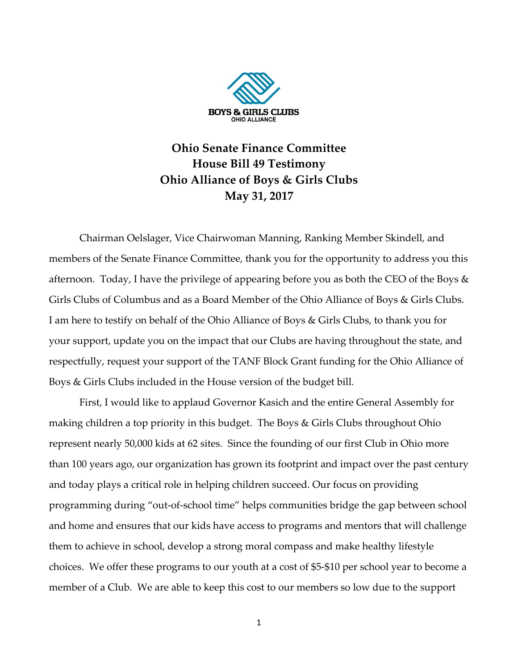

## **Ohio Senate Finance Committee House Bill 49 Testimony Ohio Alliance of Boys & Girls Clubs May 31, 2017**

Chairman Oelslager, Vice Chairwoman Manning, Ranking Member Skindell, and members of the Senate Finance Committee, thank you for the opportunity to address you this afternoon. Today, I have the privilege of appearing before you as both the CEO of the Boys & Girls Clubs of Columbus and as a Board Member of the Ohio Alliance of Boys & Girls Clubs. I am here to testify on behalf of the Ohio Alliance of Boys & Girls Clubs, to thank you for your support, update you on the impact that our Clubs are having throughout the state, and respectfully, request your support of the TANF Block Grant funding for the Ohio Alliance of Boys & Girls Clubs included in the House version of the budget bill.

First, I would like to applaud Governor Kasich and the entire General Assembly for making children a top priority in this budget. The Boys & Girls Clubs throughout Ohio represent nearly 50,000 kids at 62 sites. Since the founding of our first Club in Ohio more than 100 years ago, our organization has grown its footprint and impact over the past century and today plays a critical role in helping children succeed. Our focus on providing programming during "out-of-school time" helps communities bridge the gap between school and home and ensures that our kids have access to programs and mentors that will challenge them to achieve in school, develop a strong moral compass and make healthy lifestyle choices. We offer these programs to our youth at a cost of \$5-\$10 per school year to become a member of a Club. We are able to keep this cost to our members so low due to the support

1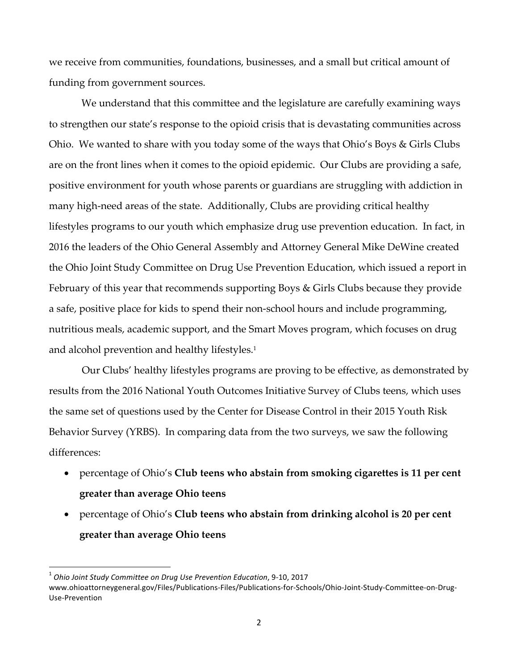we receive from communities, foundations, businesses, and a small but critical amount of funding from government sources.

We understand that this committee and the legislature are carefully examining ways to strengthen our state's response to the opioid crisis that is devastating communities across Ohio. We wanted to share with you today some of the ways that Ohio's Boys & Girls Clubs are on the front lines when it comes to the opioid epidemic. Our Clubs are providing a safe, positive environment for youth whose parents or guardians are struggling with addiction in many high-need areas of the state. Additionally, Clubs are providing critical healthy lifestyles programs to our youth which emphasize drug use prevention education. In fact, in 2016 the leaders of the Ohio General Assembly and Attorney General Mike DeWine created the Ohio Joint Study Committee on Drug Use Prevention Education, which issued a report in February of this year that recommends supporting Boys & Girls Clubs because they provide a safe, positive place for kids to spend their non-school hours and include programming, nutritious meals, academic support, and the Smart Moves program, which focuses on drug and alcohol prevention and healthy lifestyles.<sup>1</sup>

Our Clubs' healthy lifestyles programs are proving to be effective, as demonstrated by results from the 2016 National Youth Outcomes Initiative Survey of Clubs teens, which uses the same set of questions used by the Center for Disease Control in their 2015 Youth Risk Behavior Survey (YRBS). In comparing data from the two surveys, we saw the following differences:

- percentage of Ohio's **Club teens who abstain from smoking cigarettes is 11 per cent greater than average Ohio teens**
- percentage of Ohio's **Club teens who abstain from drinking alcohol is 20 per cent greater than average Ohio teens**

 

 $^1$  Ohio Joint Study Committee on Drug Use Prevention Education, 9-10, 2017

www.ohioattorneygeneral.gov/Files/Publications-Files/Publications-for-Schools/Ohio-Joint-Study-Committee-on-Drug-Use-Prevention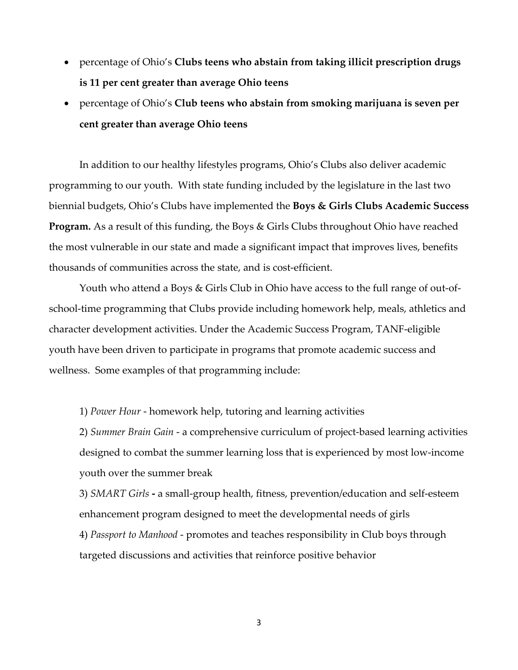- percentage of Ohio's **Clubs teens who abstain from taking illicit prescription drugs is 11 per cent greater than average Ohio teens**
- percentage of Ohio's **Club teens who abstain from smoking marijuana is seven per cent greater than average Ohio teens**

In addition to our healthy lifestyles programs, Ohio's Clubs also deliver academic programming to our youth. With state funding included by the legislature in the last two biennial budgets, Ohio's Clubs have implemented the **Boys & Girls Clubs Academic Success Program.** As a result of this funding, the Boys & Girls Clubs throughout Ohio have reached the most vulnerable in our state and made a significant impact that improves lives, benefits thousands of communities across the state, and is cost-efficient.

Youth who attend a Boys & Girls Club in Ohio have access to the full range of out-ofschool-time programming that Clubs provide including homework help, meals, athletics and character development activities. Under the Academic Success Program, TANF-eligible youth have been driven to participate in programs that promote academic success and wellness. Some examples of that programming include:

1) *Power Hour* - homework help, tutoring and learning activities

2) *Summer Brain Gain* - a comprehensive curriculum of project-based learning activities designed to combat the summer learning loss that is experienced by most low-income youth over the summer break

3) *SMART Girls* **-** a small-group health, fitness, prevention/education and self-esteem enhancement program designed to meet the developmental needs of girls 4) *Passport to Manhood* - promotes and teaches responsibility in Club boys through targeted discussions and activities that reinforce positive behavior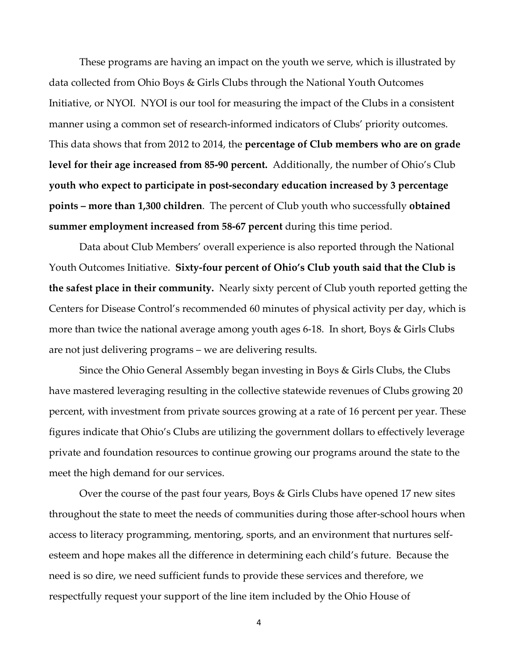These programs are having an impact on the youth we serve, which is illustrated by data collected from Ohio Boys & Girls Clubs through the National Youth Outcomes Initiative, or NYOI. NYOI is our tool for measuring the impact of the Clubs in a consistent manner using a common set of research-informed indicators of Clubs' priority outcomes. This data shows that from 2012 to 2014, the **percentage of Club members who are on grade level for their age increased from 85-90 percent.** Additionally, the number of Ohio's Club **youth who expect to participate in post-secondary education increased by 3 percentage points – more than 1,300 children**. The percent of Club youth who successfully **obtained summer employment increased from 58-67 percent** during this time period.

Data about Club Members' overall experience is also reported through the National Youth Outcomes Initiative. **Sixty-four percent of Ohio's Club youth said that the Club is the safest place in their community.** Nearly sixty percent of Club youth reported getting the Centers for Disease Control's recommended 60 minutes of physical activity per day, which is more than twice the national average among youth ages 6-18. In short, Boys & Girls Clubs are not just delivering programs – we are delivering results.

Since the Ohio General Assembly began investing in Boys & Girls Clubs, the Clubs have mastered leveraging resulting in the collective statewide revenues of Clubs growing 20 percent, with investment from private sources growing at a rate of 16 percent per year. These figures indicate that Ohio's Clubs are utilizing the government dollars to effectively leverage private and foundation resources to continue growing our programs around the state to the meet the high demand for our services.

Over the course of the past four years, Boys & Girls Clubs have opened 17 new sites throughout the state to meet the needs of communities during those after-school hours when access to literacy programming, mentoring, sports, and an environment that nurtures selfesteem and hope makes all the difference in determining each child's future. Because the need is so dire, we need sufficient funds to provide these services and therefore, we respectfully request your support of the line item included by the Ohio House of

4